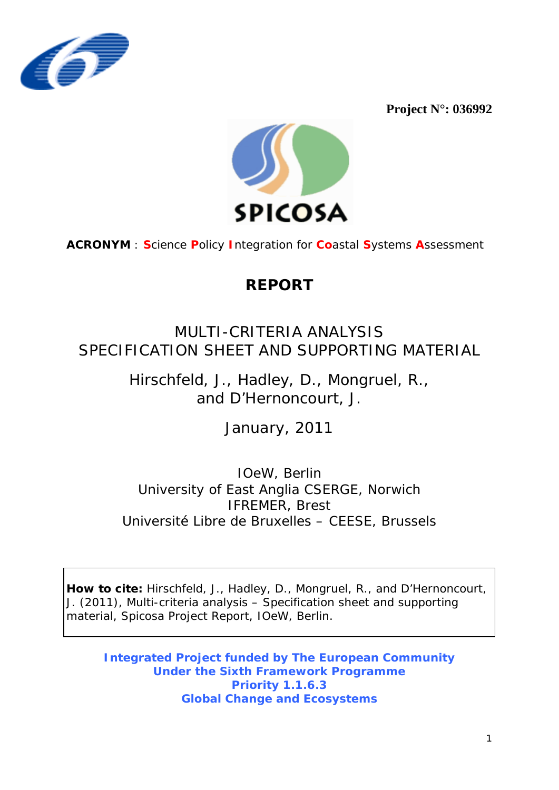

**Project N°: 036992** 



**ACRONYM** : **S**cience **P**olicy **I**ntegration for **Co**astal **S**ystems **A**ssessment

# **REPORT**

MULTI-CRITERIA ANALYSIS SPECIFICATION SHEET AND SUPPORTING MATERIAL

> Hirschfeld, J., Hadley, D., Mongruel, R., and D'Hernoncourt, J.

> > January, 2011

IOeW, Berlin University of East Anglia CSERGE, Norwich IFREMER, Brest Université Libre de Bruxelles – CEESE, Brussels

**How to cite:** Hirschfeld, J., Hadley, D., Mongruel, R., and D'Hernoncourt, J. (2011), Multi-criteria analysis – Specification sheet and supporting material, *Spicosa Project Report*, IOeW, Berlin.

**Integrated Project funded by The European Community Under the Sixth Framework Programme Priority 1.1.6.3 Global Change and Ecosystems**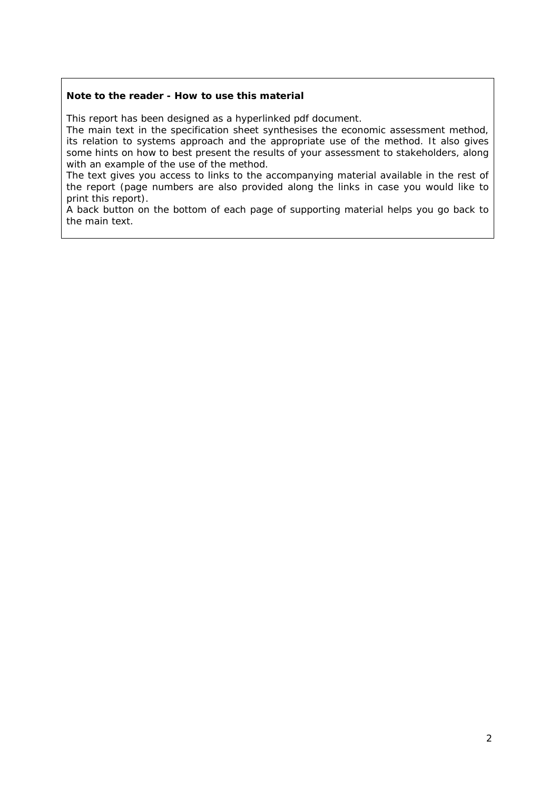## **Note to the reader - How to use this material**

This report has been designed as a hyperlinked pdf document.

The main text in the specification sheet synthesises the economic assessment method, its relation to systems approach and the appropriate use of the method. It also gives some hints on how to best present the results of your assessment to stakeholders, along with an example of the use of the method.

The text gives you access to links to the accompanying material available in the rest of the report (page numbers are also provided along the links in case you would like to print this report).

A back button on the bottom of each page of supporting material helps you go back to the main text.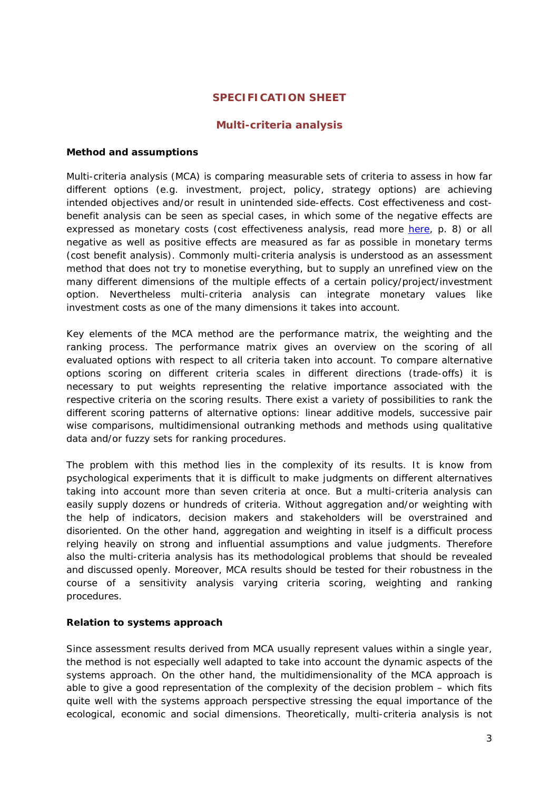# **SPECIFICATION SHEET**

# **Multi-criteria analysis**

### <span id="page-2-0"></span>**Method and assumptions**

Multi-criteria analysis (MCA) is comparing measurable sets of criteria to assess in how far different options (e.g. investment, project, policy, strategy options) are achieving intended objectives and/or result in unintended side-effects. Cost effectiveness and costbenefit analysis can be seen as special cases, in which some of the negative effects are expressed as monetary costs (cost effectiveness analysis, read more [here,](#page-7-0) p. 8) or all negative as well as positive effects are measured as far as possible in monetary terms (cost benefit analysis). Commonly multi-criteria analysis is understood as an assessment method that does not try to monetise everything, but to supply an unrefined view on the many different dimensions of the multiple effects of a certain policy/project/investment option. Nevertheless multi-criteria analysis can integrate monetary values like investment costs as one of the many dimensions it takes into account.

Key elements of the MCA method are the performance matrix, the weighting and the ranking process. The performance matrix gives an overview on the scoring of all evaluated options with respect to all criteria taken into account. To compare alternative options scoring on different criteria scales in different directions (trade-offs) it is necessary to put weights representing the relative importance associated with the respective criteria on the scoring results. There exist a variety of possibilities to rank the different scoring patterns of alternative options: linear additive models, successive pair wise comparisons, multidimensional outranking methods and methods using qualitative data and/or fuzzy sets for ranking procedures.

The problem with this method lies in the complexity of its results. It is know from psychological experiments that it is difficult to make judgments on different alternatives taking into account more than seven criteria at once. But a multi-criteria analysis can easily supply dozens or hundreds of criteria. Without aggregation and/or weighting with the help of indicators, decision makers and stakeholders will be overstrained and disoriented. On the other hand, aggregation and weighting in itself is a difficult process relying heavily on strong and influential assumptions and value judgments. Therefore also the multi-criteria analysis has its methodological problems that should be revealed and discussed openly. Moreover, MCA results should be tested for their robustness in the course of a sensitivity analysis varying criteria scoring, weighting and ranking procedures.

## **Relation to systems approach**

Since assessment results derived from MCA usually represent values within a single year, the method is not especially well adapted to take into account the dynamic aspects of the systems approach. On the other hand, the multidimensionality of the MCA approach is able to give a good representation of the complexity of the decision problem – which fits quite well with the systems approach perspective stressing the equal importance of the ecological, economic and social dimensions. Theoretically, multi-criteria analysis is not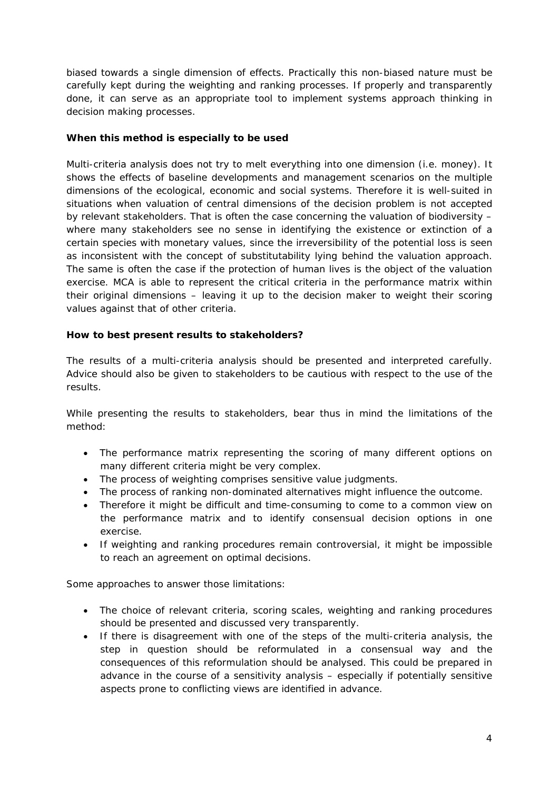biased towards a single dimension of effects. Practically this non-biased nature must be carefully kept during the weighting and ranking processes. If properly and transparently done, it can serve as an appropriate tool to implement systems approach thinking in decision making processes.

## **When this method is especially to be used**

Multi-criteria analysis does not try to melt everything into one dimension (i.e. money). It shows the effects of baseline developments and management scenarios on the multiple dimensions of the ecological, economic and social systems. Therefore it is well-suited in situations when valuation of central dimensions of the decision problem is not accepted by relevant stakeholders. That is often the case concerning the valuation of biodiversity – where many stakeholders see no sense in identifying the existence or extinction of a certain species with monetary values, since the irreversibility of the potential loss is seen as inconsistent with the concept of substitutability lying behind the valuation approach. The same is often the case if the protection of human lives is the object of the valuation exercise. MCA is able to represent the critical criteria in the performance matrix within their original dimensions – leaving it up to the decision maker to weight their scoring values against that of other criteria.

# **How to best present results to stakeholders?**

The results of a multi-criteria analysis should be presented and interpreted carefully. Advice should also be given to stakeholders to be cautious with respect to the use of the results.

While presenting the results to stakeholders, bear thus in mind the limitations of the method:

- The performance matrix representing the scoring of many different options on many different criteria might be very complex.
- The process of weighting comprises sensitive value judgments.
- The process of ranking non-dominated alternatives might influence the outcome.
- Therefore it might be difficult and time-consuming to come to a common view on the performance matrix and to identify consensual decision options in one exercise.
- If weighting and ranking procedures remain controversial, it might be impossible to reach an agreement on optimal decisions.

Some approaches to answer those limitations:

- The choice of relevant criteria, scoring scales, weighting and ranking procedures should be presented and discussed very transparently.
- If there is disagreement with one of the steps of the multi-criteria analysis, the step in question should be reformulated in a consensual way and the consequences of this reformulation should be analysed. This could be prepared in advance in the course of a sensitivity analysis – especially if potentially sensitive aspects prone to conflicting views are identified in advance.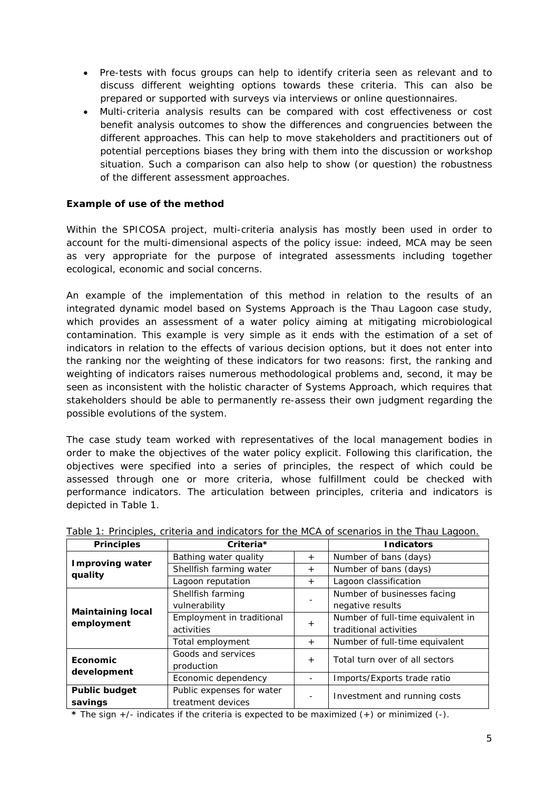- Pre-tests with focus groups can help to identify criteria seen as relevant and to discuss different weighting options towards these criteria. This can also be prepared or supported with surveys via interviews or online questionnaires.
- Multi-criteria analysis results can be compared with cost effectiveness or cost benefit analysis outcomes to show the differences and congruencies between the different approaches. This can help to move stakeholders and practitioners out of potential perceptions biases they bring with them into the discussion or workshop situation. Such a comparison can also help to show (or question) the robustness of the different assessment approaches.

# **Example of use of the method**

Within the SPICOSA project, multi-criteria analysis has mostly been used in order to account for the multi-dimensional aspects of the policy issue: indeed, MCA may be seen as very appropriate for the purpose of integrated assessments including together ecological, economic and social concerns.

An example of the implementation of this method in relation to the results of an integrated dynamic model based on Systems Approach is the Thau Lagoon case study, which provides an assessment of a water policy aiming at mitigating microbiological contamination. This example is very simple as it ends with the estimation of a set of indicators in relation to the effects of various decision options, but it does not enter into the ranking nor the weighting of these indicators for two reasons: first, the ranking and weighting of indicators raises numerous methodological problems and, second, it may be seen as inconsistent with the holistic character of Systems Approach, which requires that stakeholders should be able to permanently re-assess their own judgment regarding the possible evolutions of the system.

The case study team worked with representatives of the local management bodies in order to make the objectives of the water policy explicit. Following this clarification, the objectives were specified into a series of principles, the respect of which could be assessed through one or more criteria, whose fulfillment could be checked with performance indicators. The articulation between principles, criteria and indicators is depicted in Table 1.

| <b>Principles</b>                      | Criteria*                 |        | <b>Indicators</b>                 |
|----------------------------------------|---------------------------|--------|-----------------------------------|
| <b>Improving water</b><br>quality      | Bathing water quality     | $+$    | Number of bans (days)             |
|                                        | Shellfish farming water   | $+$    | Number of bans (days)             |
|                                        | Lagoon reputation         | $+$    | Lagoon classification             |
| <b>Maintaining local</b><br>employment | Shellfish farming         |        | Number of businesses facing       |
|                                        | vulnerability             |        | negative results                  |
|                                        | Employment in traditional | $^{+}$ | Number of full-time equivalent in |
|                                        | activities                |        | traditional activities            |
|                                        | Total employment          | $+$    | Number of full-time equivalent    |
| Economic<br>development                | Goods and services        | $+$    | Total turn over of all sectors    |
|                                        | production                |        |                                   |
|                                        | Economic dependency       | ٠      | Imports/Exports trade ratio       |
| <b>Public budget</b>                   | Public expenses for water |        | Investment and running costs      |
| savings                                | treatment devices         |        |                                   |

Table 1: Principles, criteria and indicators for the MCA of scenarios in the Thau Lagoon.

*\** The sign +/- indicates if the criteria is expected to be maximized (+) or minimized (-).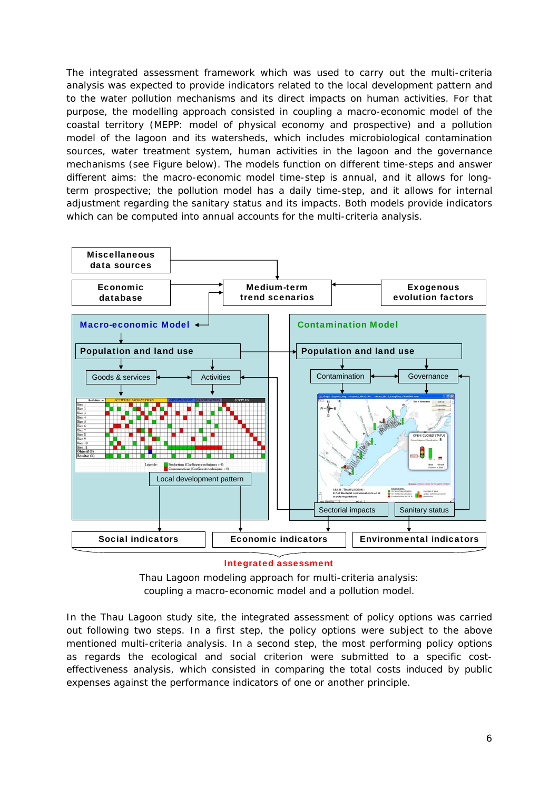The integrated assessment framework which was used to carry out the multi-criteria analysis was expected to provide indicators related to the local development pattern and to the water pollution mechanisms and its direct impacts on human activities. For that purpose, the modelling approach consisted in coupling a macro-economic model of the coastal territory (MEPP: model of physical economy and prospective) and a pollution model of the lagoon and its watersheds, which includes microbiological contamination sources, water treatment system, human activities in the lagoon and the governance mechanisms (see Figure below). The models function on different time-steps and answer different aims: the macro-economic model time-step is annual, and it allows for longterm prospective; the pollution model has a daily time-step, and it allows for internal adjustment regarding the sanitary status and its impacts. Both models provide indicators which can be computed into annual accounts for the multi-criteria analysis.



## Integrated assessment



In the Thau Lagoon study site, the integrated assessment of policy options was carried out following two steps. In a first step, the policy options were subject to the above mentioned multi-criteria analysis. In a second step, the most performing policy options as regards the ecological and social criterion were submitted to a specific costeffectiveness analysis, which consisted in comparing the total costs induced by public expenses against the performance indicators of one or another principle.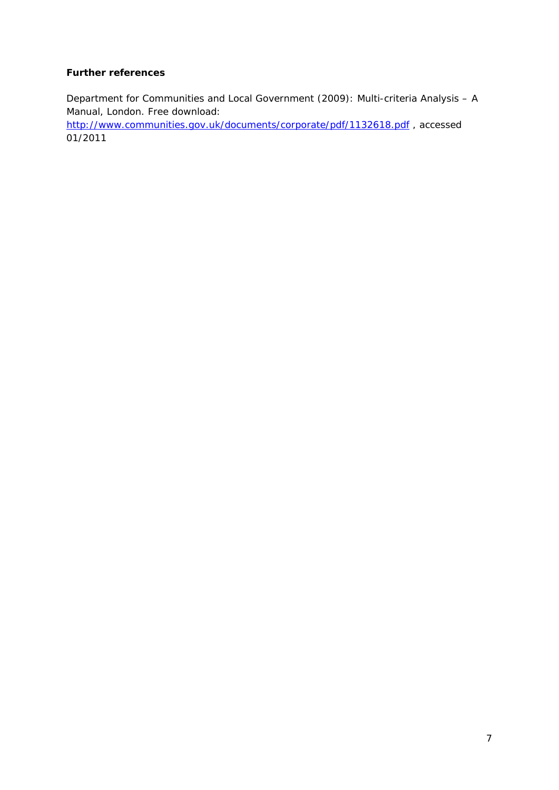# **Further references**

Department for Communities and Local Government (2009): Multi-criteria Analysis – A Manual, London. Free download:

<http://www.communities.gov.uk/documents/corporate/pdf/1132618.pdf> , accessed 01/2011